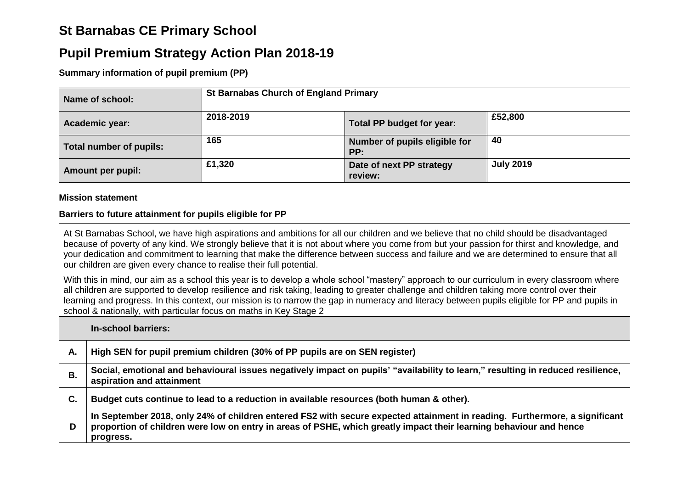# **St Barnabas CE Primary School**

## **Pupil Premium Strategy Action Plan 2018-19**

**Summary information of pupil premium (PP)**

| Name of school:          | <b>St Barnabas Church of England Primary</b> |                                      |                  |  |  |
|--------------------------|----------------------------------------------|--------------------------------------|------------------|--|--|
| Academic year:           | 2018-2019                                    | Total PP budget for year:            | £52,800          |  |  |
| Total number of pupils:  | 165                                          | Number of pupils eligible for<br>PP: | 40               |  |  |
| <b>Amount per pupil:</b> | £1,320                                       | Date of next PP strategy<br>review:  | <b>July 2019</b> |  |  |

#### **Mission statement**

#### **Barriers to future attainment for pupils eligible for PP**

At St Barnabas School, we have high aspirations and ambitions for all our children and we believe that no child should be disadvantaged because of poverty of any kind. We strongly believe that it is not about where you come from but your passion for thirst and knowledge, and your dedication and commitment to learning that make the difference between success and failure and we are determined to ensure that all our children are given every chance to realise their full potential.

With this in mind, our aim as a school this year is to develop a whole school "mastery" approach to our curriculum in every classroom where all children are supported to develop resilience and risk taking, leading to greater challenge and children taking more control over their learning and progress. In this context, our mission is to narrow the gap in numeracy and literacy between pupils eligible for PP and pupils in school & nationally, with particular focus on maths in Key Stage 2

**In-school barriers:**

| А. | High SEN for pupil premium children (30% of PP pupils are on SEN register)                                                                                                                                                                                    |
|----|---------------------------------------------------------------------------------------------------------------------------------------------------------------------------------------------------------------------------------------------------------------|
| В. | Social, emotional and behavioural issues negatively impact on pupils' "availability to learn," resulting in reduced resilience,<br>aspiration and attainment                                                                                                  |
| С. | Budget cuts continue to lead to a reduction in available resources (both human & other).                                                                                                                                                                      |
| D  | In September 2018, only 24% of children entered FS2 with secure expected attainment in reading. Furthermore, a significant<br>proportion of children were low on entry in areas of PSHE, which greatly impact their learning behaviour and hence<br>progress. |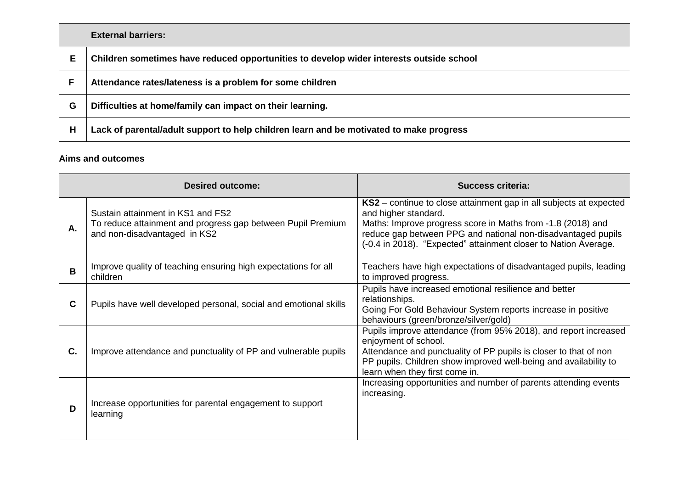|    | <b>External barriers:</b>                                                               |
|----|-----------------------------------------------------------------------------------------|
| Е. | Children sometimes have reduced opportunities to develop wider interests outside school |
|    | Attendance rates/lateness is a problem for some children                                |
| G  | Difficulties at home/family can impact on their learning.                               |
| н  | Lack of parental/adult support to help children learn and be motivated to make progress |

#### **Aims and outcomes**

| <b>Desired outcome:</b> |                                                                                                                                  | <b>Success criteria:</b>                                                                                                                                                                                                                                                                     |  |  |
|-------------------------|----------------------------------------------------------------------------------------------------------------------------------|----------------------------------------------------------------------------------------------------------------------------------------------------------------------------------------------------------------------------------------------------------------------------------------------|--|--|
| А.                      | Sustain attainment in KS1 and FS2<br>To reduce attainment and progress gap between Pupil Premium<br>and non-disadvantaged in KS2 | KS2 – continue to close attainment gap in all subjects at expected<br>and higher standard.<br>Maths: Improve progress score in Maths from -1.8 (2018) and<br>reduce gap between PPG and national non-disadvantaged pupils<br>(-0.4 in 2018). "Expected" attainment closer to Nation Average. |  |  |
| B                       | Improve quality of teaching ensuring high expectations for all<br>children                                                       | Teachers have high expectations of disadvantaged pupils, leading<br>to improved progress.                                                                                                                                                                                                    |  |  |
| C                       | Pupils have well developed personal, social and emotional skills                                                                 | Pupils have increased emotional resilience and better<br>relationships.<br>Going For Gold Behaviour System reports increase in positive<br>behaviours (green/bronze/silver/gold)                                                                                                             |  |  |
| C.                      | Improve attendance and punctuality of PP and vulnerable pupils                                                                   | Pupils improve attendance (from 95% 2018), and report increased<br>enjoyment of school.<br>Attendance and punctuality of PP pupils is closer to that of non<br>PP pupils. Children show improved well-being and availability to<br>learn when they first come in.                            |  |  |
| D                       | Increase opportunities for parental engagement to support<br>learning                                                            | Increasing opportunities and number of parents attending events<br>increasing.                                                                                                                                                                                                               |  |  |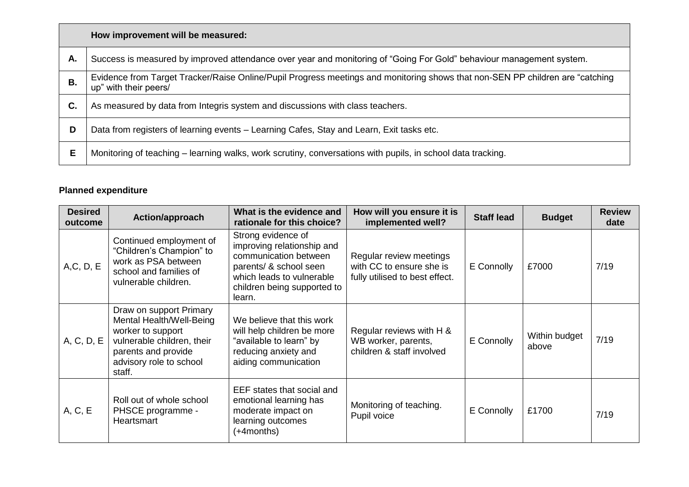|    | How improvement will be measured:                                                                                                                      |
|----|--------------------------------------------------------------------------------------------------------------------------------------------------------|
| А. | Success is measured by improved attendance over year and monitoring of "Going For Gold" behaviour management system.                                   |
| Β. | Evidence from Target Tracker/Raise Online/Pupil Progress meetings and monitoring shows that non-SEN PP children are "catching<br>up" with their peers/ |
| C. | As measured by data from Integris system and discussions with class teachers.                                                                          |
| D  | Data from registers of learning events - Learning Cafes, Stay and Learn, Exit tasks etc.                                                               |
| Е  | Monitoring of teaching – learning walks, work scrutiny, conversations with pupils, in school data tracking.                                            |

### **Planned expenditure**

| <b>Desired</b><br>outcome | Action/approach                                                                                                                                                    | What is the evidence and<br>rationale for this choice?                                                                                                                    | How will you ensure it is<br>implemented well?                                        | <b>Staff lead</b> | <b>Budget</b>          | <b>Review</b><br>date |
|---------------------------|--------------------------------------------------------------------------------------------------------------------------------------------------------------------|---------------------------------------------------------------------------------------------------------------------------------------------------------------------------|---------------------------------------------------------------------------------------|-------------------|------------------------|-----------------------|
| A, C, D, E                | Continued employment of<br>"Children's Champion" to<br>work as PSA between<br>school and families of<br>vulnerable children.                                       | Strong evidence of<br>improving relationship and<br>communication between<br>parents/ & school seen<br>which leads to vulnerable<br>children being supported to<br>learn. | Regular review meetings<br>with CC to ensure she is<br>fully utilised to best effect. | E Connolly        | £7000                  | 7/19                  |
| A, C, D, E                | Draw on support Primary<br>Mental Health/Well-Being<br>worker to support<br>vulnerable children, their<br>parents and provide<br>advisory role to school<br>staff. | We believe that this work<br>will help children be more<br>"available to learn" by<br>reducing anxiety and<br>aiding communication                                        | Regular reviews with H &<br>WB worker, parents,<br>children & staff involved          | E Connolly        | Within budget<br>above | 7/19                  |
| A, C, E                   | Roll out of whole school<br>PHSCE programme -<br>Heartsmart                                                                                                        | EEF states that social and<br>emotional learning has<br>moderate impact on<br>learning outcomes<br>(+4months)                                                             | Monitoring of teaching.<br>Pupil voice                                                | E Connolly        | £1700                  | 7/19                  |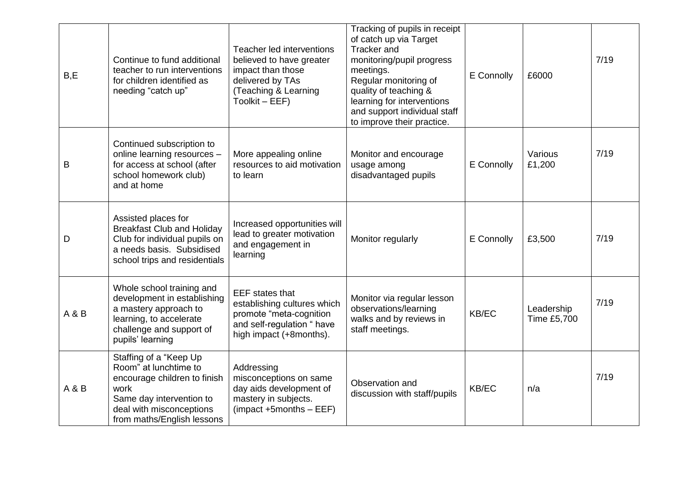| B, E  | Continue to fund additional<br>teacher to run interventions<br>for children identified as<br>needing "catch up"                                                               | Teacher led interventions<br>believed to have greater<br>impact than those<br>delivered by TAs<br>(Teaching & Learning<br>Toolkit - EEF)  | Tracking of pupils in receipt<br>of catch up via Target<br>Tracker and<br>monitoring/pupil progress<br>meetings.<br>Regular monitoring of<br>quality of teaching &<br>learning for interventions<br>and support individual staff<br>to improve their practice. | E Connolly | £6000                     | 7/19 |
|-------|-------------------------------------------------------------------------------------------------------------------------------------------------------------------------------|-------------------------------------------------------------------------------------------------------------------------------------------|----------------------------------------------------------------------------------------------------------------------------------------------------------------------------------------------------------------------------------------------------------------|------------|---------------------------|------|
| B     | Continued subscription to<br>online learning resources -<br>for access at school (after<br>school homework club)<br>and at home                                               | More appealing online<br>resources to aid motivation<br>to learn                                                                          | Monitor and encourage<br>usage among<br>disadvantaged pupils                                                                                                                                                                                                   | E Connolly | Various<br>£1,200         | 7/19 |
| D     | Assisted places for<br><b>Breakfast Club and Holiday</b><br>Club for individual pupils on<br>a needs basis. Subsidised<br>school trips and residentials                       | Increased opportunities will<br>lead to greater motivation<br>and engagement in<br>learning                                               | Monitor regularly                                                                                                                                                                                                                                              | E Connolly | £3,500                    | 7/19 |
| A & B | Whole school training and<br>development in establishing<br>a mastery approach to<br>learning, to accelerate<br>challenge and support of<br>pupils' learning                  | <b>EEF</b> states that<br>establishing cultures which<br>promote "meta-cognition<br>and self-regulation " have<br>high impact (+8months). | Monitor via regular lesson<br>observations/learning<br>walks and by reviews in<br>staff meetings.                                                                                                                                                              | KB/EC      | Leadership<br>Time £5,700 | 7/19 |
| A & B | Staffing of a "Keep Up<br>Room" at lunchtime to<br>encourage children to finish<br>work<br>Same day intervention to<br>deal with misconceptions<br>from maths/English lessons | Addressing<br>misconceptions on same<br>day aids development of<br>mastery in subjects.<br>$(impact + 5 months - EEF)$                    | Observation and<br>discussion with staff/pupils                                                                                                                                                                                                                | KB/EC      | n/a                       | 7/19 |